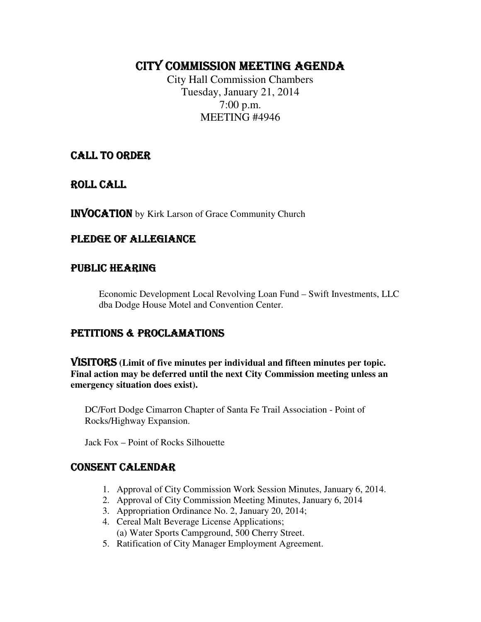# CITY COMMISSION MEETING AGENDA

City Hall Commission Chambers Tuesday, January 21, 2014 7:00 p.m. MEETING #4946

# CALL TO ORDER

ROLL CALL

INVOCATION by Kirk Larson of Grace Community Church

# PLEDGE OF ALLEGIANCE

## PUBLIC HEARING

Economic Development Local Revolving Loan Fund – Swift Investments, LLC dba Dodge House Motel and Convention Center.

# PETITIONS & PROCLAMATIONS

VISITORS **(Limit of five minutes per individual and fifteen minutes per topic. Final action may be deferred until the next City Commission meeting unless an emergency situation does exist).** 

DC/Fort Dodge Cimarron Chapter of Santa Fe Trail Association - Point of Rocks/Highway Expansion.

Jack Fox – Point of Rocks Silhouette

# CONSENT CALENDAR

- 1. Approval of City Commission Work Session Minutes, January 6, 2014.
- 2. Approval of City Commission Meeting Minutes, January 6, 2014
- 3. Appropriation Ordinance No. 2, January 20, 2014;
- 4. Cereal Malt Beverage License Applications; (a) Water Sports Campground, 500 Cherry Street.
- 5. Ratification of City Manager Employment Agreement.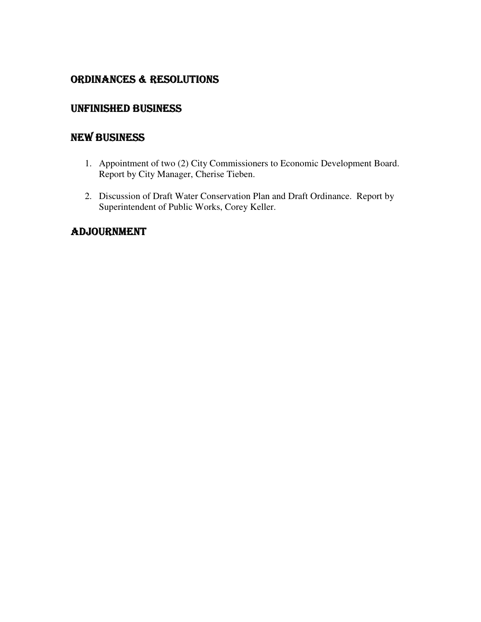# ORDINANCES & RESOLUTIONS

# UNFINISHED BUSINESS

# NEW BUSINESS

- 1. Appointment of two (2) City Commissioners to Economic Development Board. Report by City Manager, Cherise Tieben.
- 2. Discussion of Draft Water Conservation Plan and Draft Ordinance. Report by Superintendent of Public Works, Corey Keller.

# ADJOURNMENT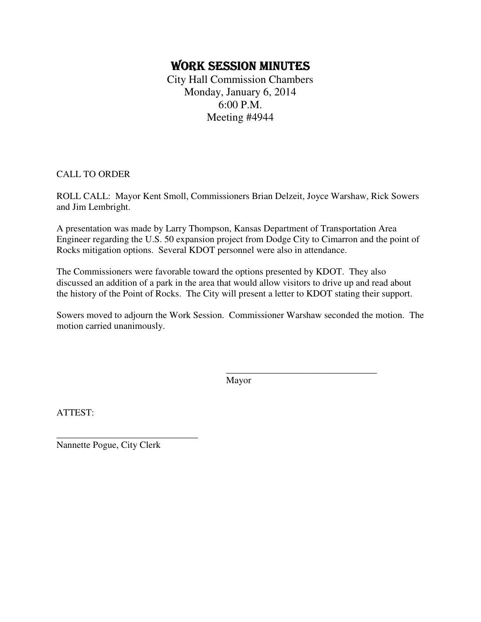# WORK SESSION MINUTES

City Hall Commission Chambers Monday, January 6, 2014 6:00 P.M. Meeting #4944

CALL TO ORDER

ROLL CALL: Mayor Kent Smoll, Commissioners Brian Delzeit, Joyce Warshaw, Rick Sowers and Jim Lembright.

A presentation was made by Larry Thompson, Kansas Department of Transportation Area Engineer regarding the U.S. 50 expansion project from Dodge City to Cimarron and the point of Rocks mitigation options. Several KDOT personnel were also in attendance.

The Commissioners were favorable toward the options presented by KDOT. They also discussed an addition of a park in the area that would allow visitors to drive up and read about the history of the Point of Rocks. The City will present a letter to KDOT stating their support.

Sowers moved to adjourn the Work Session. Commissioner Warshaw seconded the motion. The motion carried unanimously.

Mayor

\_\_\_\_\_\_\_\_\_\_\_\_\_\_\_\_\_\_\_\_\_\_\_\_\_\_\_\_\_\_\_\_

ATTEST:

Nannette Pogue, City Clerk

\_\_\_\_\_\_\_\_\_\_\_\_\_\_\_\_\_\_\_\_\_\_\_\_\_\_\_\_\_\_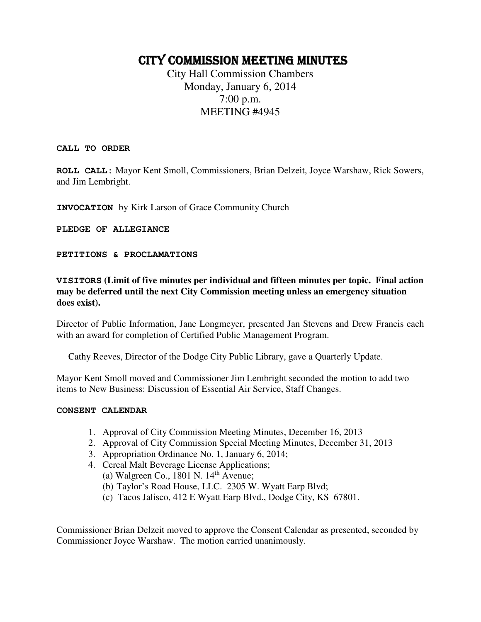# CITY COMMISSION MEETING MINUTES

City Hall Commission Chambers Monday, January 6, 2014 7:00 p.m. MEETING #4945

**CALL TO ORDER** 

**ROLL CALL:** Mayor Kent Smoll, Commissioners, Brian Delzeit, Joyce Warshaw, Rick Sowers, and Jim Lembright.

**INVOCATION** by Kirk Larson of Grace Community Church

**PLEDGE OF ALLEGIANCE** 

**PETITIONS & PROCLAMATIONS** 

**VISITORS (Limit of five minutes per individual and fifteen minutes per topic. Final action may be deferred until the next City Commission meeting unless an emergency situation does exist).** 

Director of Public Information, Jane Longmeyer, presented Jan Stevens and Drew Francis each with an award for completion of Certified Public Management Program.

Cathy Reeves, Director of the Dodge City Public Library, gave a Quarterly Update.

Mayor Kent Smoll moved and Commissioner Jim Lembright seconded the motion to add two items to New Business: Discussion of Essential Air Service, Staff Changes.

#### **CONSENT CALENDAR**

- 1. Approval of City Commission Meeting Minutes, December 16, 2013
- 2. Approval of City Commission Special Meeting Minutes, December 31, 2013
- 3. Appropriation Ordinance No. 1, January 6, 2014;
- 4. Cereal Malt Beverage License Applications; (a) Walgreen Co., 1801 N.  $14<sup>th</sup>$  Avenue;
	- (b) Taylor's Road House, LLC. 2305 W. Wyatt Earp Blvd;
	- (c) Tacos Jalisco, 412 E Wyatt Earp Blvd., Dodge City, KS 67801.

Commissioner Brian Delzeit moved to approve the Consent Calendar as presented, seconded by Commissioner Joyce Warshaw. The motion carried unanimously.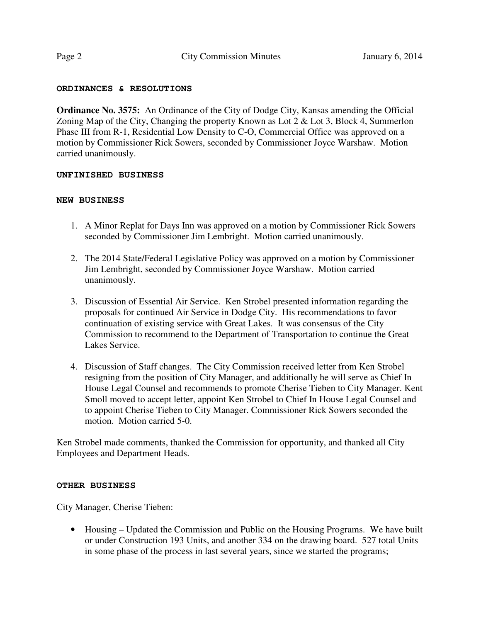#### **ORDINANCES & RESOLUTIONS**

**Ordinance No. 3575:** An Ordinance of the City of Dodge City, Kansas amending the Official Zoning Map of the City, Changing the property Known as Lot 2 & Lot 3, Block 4, Summerlon Phase III from R-1, Residential Low Density to C-O, Commercial Office was approved on a motion by Commissioner Rick Sowers, seconded by Commissioner Joyce Warshaw. Motion carried unanimously.

#### **UNFINISHED BUSINESS**

#### **NEW BUSINESS**

- 1. A Minor Replat for Days Inn was approved on a motion by Commissioner Rick Sowers seconded by Commissioner Jim Lembright. Motion carried unanimously.
- 2. The 2014 State/Federal Legislative Policy was approved on a motion by Commissioner Jim Lembright, seconded by Commissioner Joyce Warshaw. Motion carried unanimously.
- 3. Discussion of Essential Air Service. Ken Strobel presented information regarding the proposals for continued Air Service in Dodge City. His recommendations to favor continuation of existing service with Great Lakes. It was consensus of the City Commission to recommend to the Department of Transportation to continue the Great Lakes Service.
- 4. Discussion of Staff changes. The City Commission received letter from Ken Strobel resigning from the position of City Manager, and additionally he will serve as Chief In House Legal Counsel and recommends to promote Cherise Tieben to City Manager. Kent Smoll moved to accept letter, appoint Ken Strobel to Chief In House Legal Counsel and to appoint Cherise Tieben to City Manager. Commissioner Rick Sowers seconded the motion. Motion carried 5-0.

Ken Strobel made comments, thanked the Commission for opportunity, and thanked all City Employees and Department Heads.

#### **OTHER BUSINESS**

City Manager, Cherise Tieben:

• Housing – Updated the Commission and Public on the Housing Programs. We have built or under Construction 193 Units, and another 334 on the drawing board. 527 total Units in some phase of the process in last several years, since we started the programs;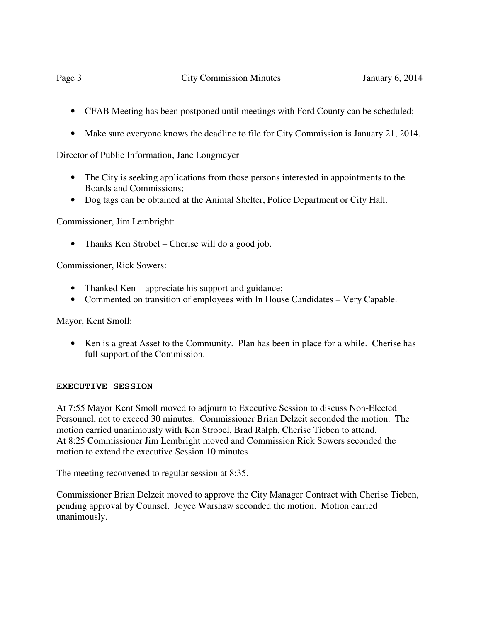- CFAB Meeting has been postponed until meetings with Ford County can be scheduled;
- Make sure everyone knows the deadline to file for City Commission is January 21, 2014.

Director of Public Information, Jane Longmeyer

- The City is seeking applications from those persons interested in appointments to the Boards and Commissions;
- Dog tags can be obtained at the Animal Shelter, Police Department or City Hall.

Commissioner, Jim Lembright:

• Thanks Ken Strobel – Cherise will do a good job.

Commissioner, Rick Sowers:

- Thanked Ken appreciate his support and guidance;
- Commented on transition of employees with In House Candidates Very Capable.

Mayor, Kent Smoll:

• Ken is a great Asset to the Community. Plan has been in place for a while. Cherise has full support of the Commission.

## **EXECUTIVE SESSION**

At 7:55 Mayor Kent Smoll moved to adjourn to Executive Session to discuss Non-Elected Personnel, not to exceed 30 minutes. Commissioner Brian Delzeit seconded the motion. The motion carried unanimously with Ken Strobel, Brad Ralph, Cherise Tieben to attend. At 8:25 Commissioner Jim Lembright moved and Commission Rick Sowers seconded the motion to extend the executive Session 10 minutes.

The meeting reconvened to regular session at 8:35.

Commissioner Brian Delzeit moved to approve the City Manager Contract with Cherise Tieben, pending approval by Counsel. Joyce Warshaw seconded the motion. Motion carried unanimously.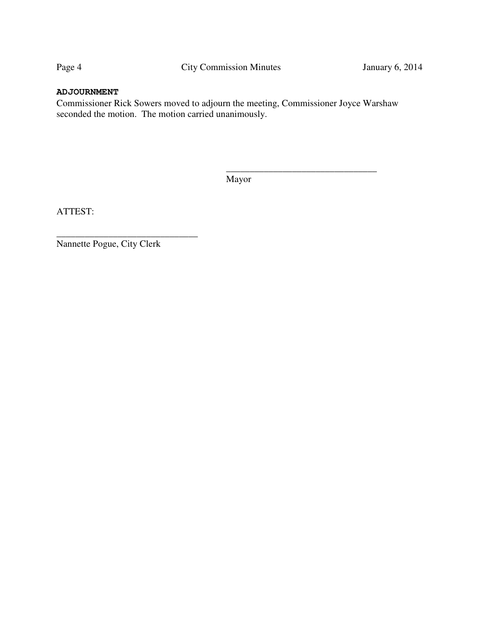## **ADJOURNMENT**

Commissioner Rick Sowers moved to adjourn the meeting, Commissioner Joyce Warshaw seconded the motion. The motion carried unanimously.

Mayor

\_\_\_\_\_\_\_\_\_\_\_\_\_\_\_\_\_\_\_\_\_\_\_\_\_\_\_\_\_\_\_\_

ATTEST:

Nannette Pogue, City Clerk

\_\_\_\_\_\_\_\_\_\_\_\_\_\_\_\_\_\_\_\_\_\_\_\_\_\_\_\_\_\_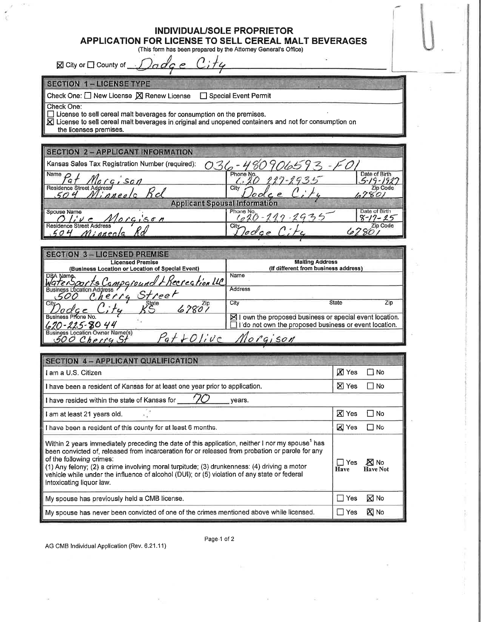## INDIVIDUAL/SOLE PROPRIETOR

APPLICATION FOR LICENSE TO SELL CEREAL MALT BEVERAGES

(This form has been prepared by the Attorney General's Office)

 $C$ ; ty  $\partial_{\alpha}d_{\alpha}e$ ⊠ City or □ County of \_\_\_

#### **SECTION 1 - LICENSE TYPE**

Check One: □ New License 図 Renew License □ Special Event Permit

Check One:

 $\Box$  License to sell cereal malt beverages for consumption on the premises.

 $\overline{\mathbf{X}}$  License to sell cereal malt beverages in original and unopened containers and not for consumption on

the licenses premises.

## **SECTION 2 - APPLICANT INFORMATION**

| 10906593<br>Kansas Sales Tax Registration Number (required): |                                 |                                |  |  |
|--------------------------------------------------------------|---------------------------------|--------------------------------|--|--|
| Name $\bigcap$<br>Morgison                                   | Phone No.<br>$117 - 1935$       | Date of Birth                  |  |  |
| Residence Street Address<br>nnea                             | City                            | Zip Code                       |  |  |
| <b>Applicant Spousal Information</b>                         |                                 |                                |  |  |
| Spouse Name<br>Morgison                                      | Phone No.<br>$-20 - 119 - 2935$ | Date of Birth<br>$8 - 17 - 25$ |  |  |
| <b>Residence Street Address</b><br>Minneola                  | City.                           | Zip Code                       |  |  |

| <b>SECTION 3-LICENSED PREMISE</b>                                           |                                                                                                                             |  |  |  |  |
|-----------------------------------------------------------------------------|-----------------------------------------------------------------------------------------------------------------------------|--|--|--|--|
| <b>Licensed Premise</b><br>(Business Location or Location of Special Event) | <b>Mailing Address</b><br>(If different from business address)                                                              |  |  |  |  |
| DBA Name<br>WaterSports Campground FRecrection LLC                          | Name                                                                                                                        |  |  |  |  |
| Cherry Street                                                               | <b>Address</b>                                                                                                              |  |  |  |  |
| City<br>State<br>locce                                                      | State<br>City<br>Zip                                                                                                        |  |  |  |  |
| Business Phone No.<br>$620 - 225 - 8044$                                    | $\boxtimes$ I own the proposed business or special event location.<br>I do not own the proposed business or event location. |  |  |  |  |
| <b>Business Location Owner Name(s)</b><br>$P$ at $+$ Olive                  | 10logison                                                                                                                   |  |  |  |  |

| SECTION 4 - APPLICANT QUALIFICATION                                                                                                                                                                                                                                                                                                                                                                                                                                   |                      |                                |  |  |
|-----------------------------------------------------------------------------------------------------------------------------------------------------------------------------------------------------------------------------------------------------------------------------------------------------------------------------------------------------------------------------------------------------------------------------------------------------------------------|----------------------|--------------------------------|--|--|
| I am a U.S. Citizen                                                                                                                                                                                                                                                                                                                                                                                                                                                   | <b>X</b> Yes         | $\Box$ No                      |  |  |
| I have been a resident of Kansas for at least one year prior to application.                                                                                                                                                                                                                                                                                                                                                                                          | <b>X</b> Yes         | l I No                         |  |  |
| I have resided within the state of Kansas for $\frac{1}{\sqrt{2}}$ years.                                                                                                                                                                                                                                                                                                                                                                                             |                      |                                |  |  |
| $\sim$<br>I am at least 21 years old.                                                                                                                                                                                                                                                                                                                                                                                                                                 | <b>X</b> Yes         | ∩ No                           |  |  |
| I have been a resident of this county for at least 6 months.                                                                                                                                                                                                                                                                                                                                                                                                          | <b>X</b> Yes         | $\Box$ No                      |  |  |
| Within 2 years immediately preceding the date of this application, neither I nor my spouse <sup>1</sup> has<br>been convicted of, released from incarceration for or released from probation or parole for any<br>of the following crimes:<br>(1) Any felony; (2) a crime involving moral turpitude; (3) drunkenness: (4) driving a motor<br>vehicle while under the influence of alcohol (DUI); or (5) violation of any state or federal<br>intoxicating liquor law. | I Yes<br><b>Have</b> | <b>X</b> No<br><b>Have Not</b> |  |  |
| My spouse has previously held a CMB license.                                                                                                                                                                                                                                                                                                                                                                                                                          | ∏ Yes                | $\boxtimes$ No                 |  |  |
| My spouse has never been convicted of one of the crimes mentioned above while licensed.                                                                                                                                                                                                                                                                                                                                                                               | $\Box$ Yes           | <b>区</b> No                    |  |  |

AG CMB Individual Application (Rev. 6.21.11)

Page-1 of 2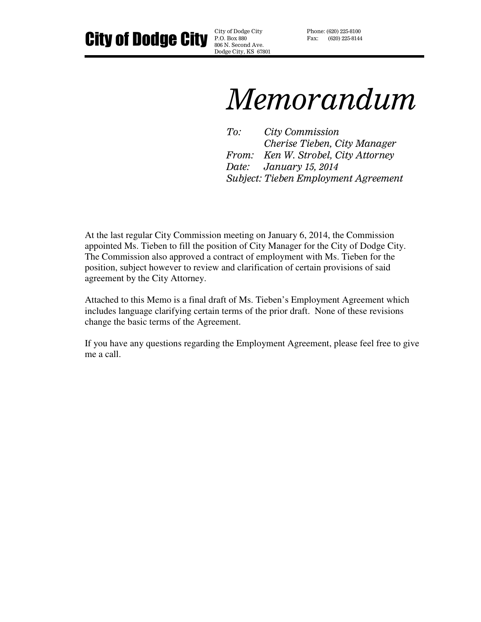City of Dodge City City of Dodge City

P.O. Box 880 806 N. Second Ave. Dodge City, KS 67801 Phone: (620) 225-8100 Fax: (620) 225-8144

# Memorandum

To: City Commission Cherise Tieben, City Manager From: Ken W. Strobel, City Attorney Date: January 15, 2014 Subject: Tieben Employment Agreement

At the last regular City Commission meeting on January 6, 2014, the Commission appointed Ms. Tieben to fill the position of City Manager for the City of Dodge City. The Commission also approved a contract of employment with Ms. Tieben for the position, subject however to review and clarification of certain provisions of said agreement by the City Attorney.

Attached to this Memo is a final draft of Ms. Tieben's Employment Agreement which includes language clarifying certain terms of the prior draft. None of these revisions change the basic terms of the Agreement.

If you have any questions regarding the Employment Agreement, please feel free to give me a call.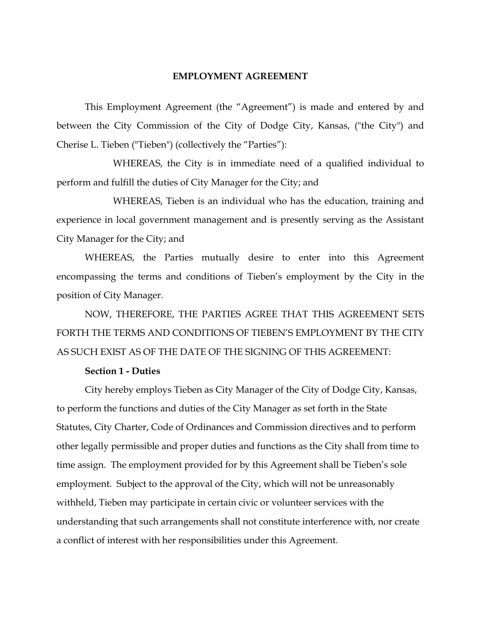#### EMPLOYMENT AGREEMENT

 This Employment Agreement (the "Agreement") is made and entered by and between the City Commission of the City of Dodge City, Kansas, ("the City") and Cherise L. Tieben ("Tieben") (collectively the "Parties"):

 WHEREAS, the City is in immediate need of a qualified individual to perform and fulfill the duties of City Manager for the City; and

 WHEREAS, Tieben is an individual who has the education, training and experience in local government management and is presently serving as the Assistant City Manager for the City; and

WHEREAS, the Parties mutually desire to enter into this Agreement encompassing the terms and conditions of Tieben's employment by the City in the position of City Manager.

NOW, THEREFORE, THE PARTIES AGREE THAT THIS AGREEMENT SETS FORTH THE TERMS AND CONDITIONS OF TIEBEN'S EMPLOYMENT BY THE CITY AS SUCH EXIST AS OF THE DATE OF THE SIGNING OF THIS AGREEMENT:

#### Section 1 - Duties

 City hereby employs Tieben as City Manager of the City of Dodge City, Kansas, to perform the functions and duties of the City Manager as set forth in the State Statutes, City Charter, Code of Ordinances and Commission directives and to perform other legally permissible and proper duties and functions as the City shall from time to time assign. The employment provided for by this Agreement shall be Tieben's sole employment. Subject to the approval of the City, which will not be unreasonably withheld, Tieben may participate in certain civic or volunteer services with the understanding that such arrangements shall not constitute interference with, nor create a conflict of interest with her responsibilities under this Agreement.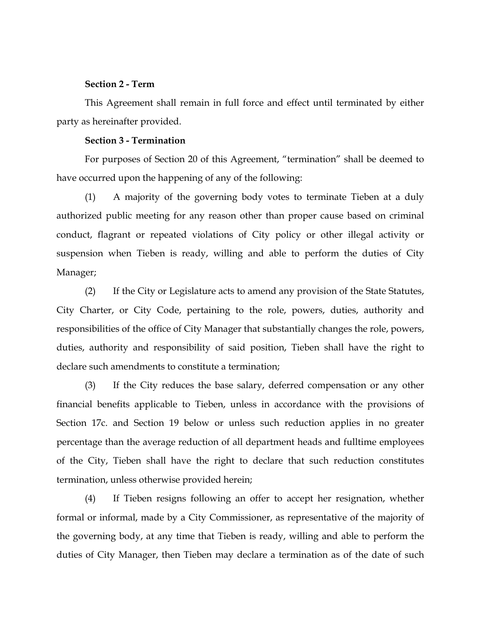#### Section 2 - Term

 This Agreement shall remain in full force and effect until terminated by either party as hereinafter provided.

#### Section 3 - Termination

 For purposes of Section 20 of this Agreement, "termination" shall be deemed to have occurred upon the happening of any of the following:

 (1) A majority of the governing body votes to terminate Tieben at a duly authorized public meeting for any reason other than proper cause based on criminal conduct, flagrant or repeated violations of City policy or other illegal activity or suspension when Tieben is ready, willing and able to perform the duties of City Manager;

 (2) If the City or Legislature acts to amend any provision of the State Statutes, City Charter, or City Code, pertaining to the role, powers, duties, authority and responsibilities of the office of City Manager that substantially changes the role, powers, duties, authority and responsibility of said position, Tieben shall have the right to declare such amendments to constitute a termination;

 (3) If the City reduces the base salary, deferred compensation or any other financial benefits applicable to Tieben, unless in accordance with the provisions of Section 17c. and Section 19 below or unless such reduction applies in no greater percentage than the average reduction of all department heads and fulltime employees of the City, Tieben shall have the right to declare that such reduction constitutes termination, unless otherwise provided herein;

 (4) If Tieben resigns following an offer to accept her resignation, whether formal or informal, made by a City Commissioner, as representative of the majority of the governing body, at any time that Tieben is ready, willing and able to perform the duties of City Manager, then Tieben may declare a termination as of the date of such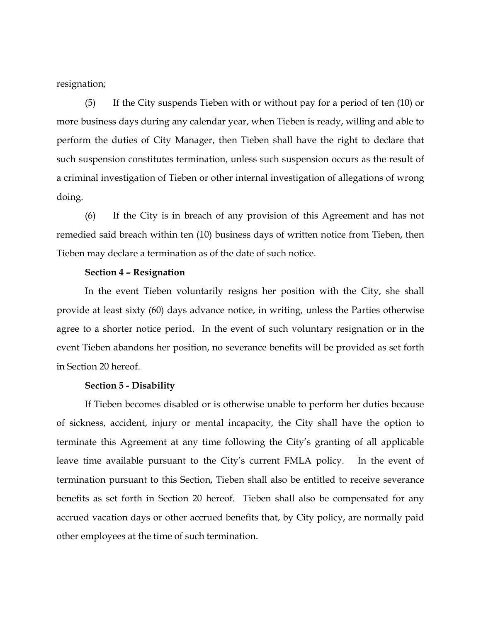resignation;

 (5) If the City suspends Tieben with or without pay for a period of ten (10) or more business days during any calendar year, when Tieben is ready, willing and able to perform the duties of City Manager, then Tieben shall have the right to declare that such suspension constitutes termination, unless such suspension occurs as the result of a criminal investigation of Tieben or other internal investigation of allegations of wrong doing.

 (6) If the City is in breach of any provision of this Agreement and has not remedied said breach within ten (10) business days of written notice from Tieben, then Tieben may declare a termination as of the date of such notice.

#### Section 4 – Resignation

In the event Tieben voluntarily resigns her position with the City, she shall provide at least sixty (60) days advance notice, in writing, unless the Parties otherwise agree to a shorter notice period. In the event of such voluntary resignation or in the event Tieben abandons her position, no severance benefits will be provided as set forth in Section 20 hereof.

#### Section 5 - Disability

 If Tieben becomes disabled or is otherwise unable to perform her duties because of sickness, accident, injury or mental incapacity, the City shall have the option to terminate this Agreement at any time following the City's granting of all applicable leave time available pursuant to the City's current FMLA policy. In the event of termination pursuant to this Section, Tieben shall also be entitled to receive severance benefits as set forth in Section 20 hereof. Tieben shall also be compensated for any accrued vacation days or other accrued benefits that, by City policy, are normally paid other employees at the time of such termination.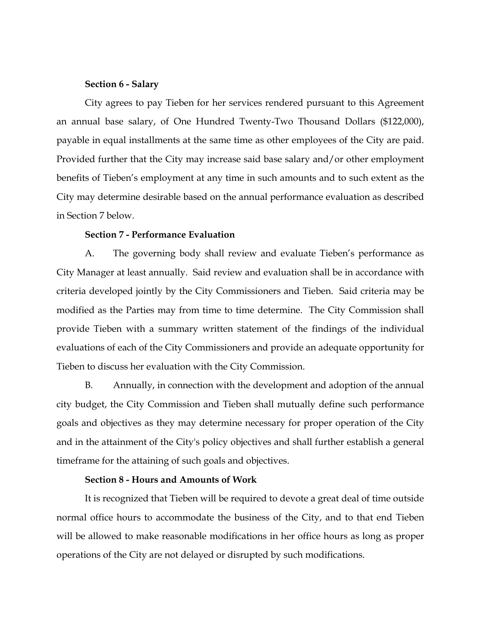#### Section 6 - Salary

 City agrees to pay Tieben for her services rendered pursuant to this Agreement an annual base salary, of One Hundred Twenty-Two Thousand Dollars (\$122,000), payable in equal installments at the same time as other employees of the City are paid. Provided further that the City may increase said base salary and/or other employment benefits of Tieben's employment at any time in such amounts and to such extent as the City may determine desirable based on the annual performance evaluation as described in Section 7 below.

#### Section 7 - Performance Evaluation

 A. The governing body shall review and evaluate Tieben's performance as City Manager at least annually. Said review and evaluation shall be in accordance with criteria developed jointly by the City Commissioners and Tieben. Said criteria may be modified as the Parties may from time to time determine. The City Commission shall provide Tieben with a summary written statement of the findings of the individual evaluations of each of the City Commissioners and provide an adequate opportunity for Tieben to discuss her evaluation with the City Commission.

 B. Annually, in connection with the development and adoption of the annual city budget, the City Commission and Tieben shall mutually define such performance goals and objectives as they may determine necessary for proper operation of the City and in the attainment of the City's policy objectives and shall further establish a general timeframe for the attaining of such goals and objectives.

## Section 8 - Hours and Amounts of Work

 It is recognized that Tieben will be required to devote a great deal of time outside normal office hours to accommodate the business of the City, and to that end Tieben will be allowed to make reasonable modifications in her office hours as long as proper operations of the City are not delayed or disrupted by such modifications.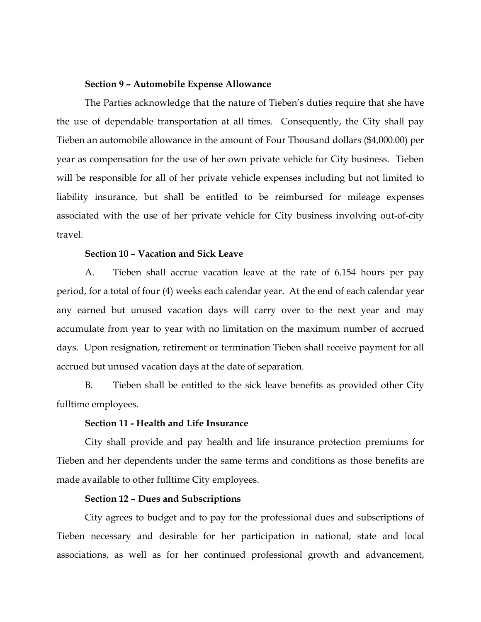#### Section 9 – Automobile Expense Allowance

The Parties acknowledge that the nature of Tieben's duties require that she have the use of dependable transportation at all times. Consequently, the City shall pay Tieben an automobile allowance in the amount of Four Thousand dollars (\$4,000.00) per year as compensation for the use of her own private vehicle for City business. Tieben will be responsible for all of her private vehicle expenses including but not limited to liability insurance, but shall be entitled to be reimbursed for mileage expenses associated with the use of her private vehicle for City business involving out-of-city travel.

#### Section 10 – Vacation and Sick Leave

A. Tieben shall accrue vacation leave at the rate of 6.154 hours per pay period, for a total of four (4) weeks each calendar year. At the end of each calendar year any earned but unused vacation days will carry over to the next year and may accumulate from year to year with no limitation on the maximum number of accrued days. Upon resignation, retirement or termination Tieben shall receive payment for all accrued but unused vacation days at the date of separation.

 B. Tieben shall be entitled to the sick leave benefits as provided other City fulltime employees.

#### Section 11 - Health and Life Insurance

 City shall provide and pay health and life insurance protection premiums for Tieben and her dependents under the same terms and conditions as those benefits are made available to other fulltime City employees.

## Section 12 – Dues and Subscriptions

 City agrees to budget and to pay for the professional dues and subscriptions of Tieben necessary and desirable for her participation in national, state and local associations, as well as for her continued professional growth and advancement,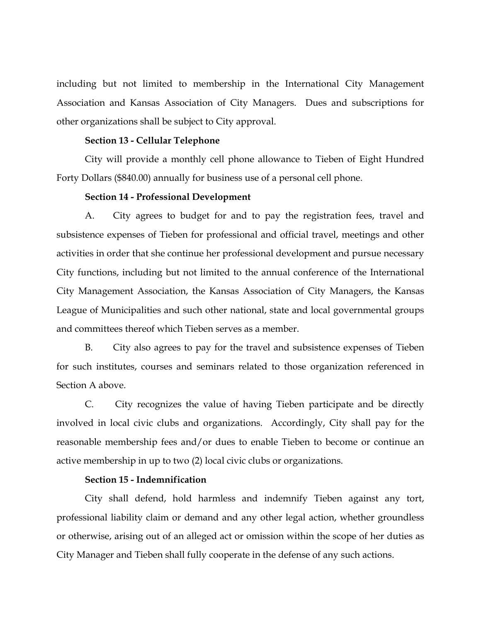including but not limited to membership in the International City Management Association and Kansas Association of City Managers. Dues and subscriptions for other organizations shall be subject to City approval.

#### Section 13 - Cellular Telephone

City will provide a monthly cell phone allowance to Tieben of Eight Hundred Forty Dollars (\$840.00) annually for business use of a personal cell phone.

#### Section 14 - Professional Development

 A. City agrees to budget for and to pay the registration fees, travel and subsistence expenses of Tieben for professional and official travel, meetings and other activities in order that she continue her professional development and pursue necessary City functions, including but not limited to the annual conference of the International City Management Association, the Kansas Association of City Managers, the Kansas League of Municipalities and such other national, state and local governmental groups and committees thereof which Tieben serves as a member.

 B. City also agrees to pay for the travel and subsistence expenses of Tieben for such institutes, courses and seminars related to those organization referenced in Section A above.

 C. City recognizes the value of having Tieben participate and be directly involved in local civic clubs and organizations. Accordingly, City shall pay for the reasonable membership fees and/or dues to enable Tieben to become or continue an active membership in up to two (2) local civic clubs or organizations.

#### Section 15 - Indemnification

City shall defend, hold harmless and indemnify Tieben against any tort, professional liability claim or demand and any other legal action, whether groundless or otherwise, arising out of an alleged act or omission within the scope of her duties as City Manager and Tieben shall fully cooperate in the defense of any such actions.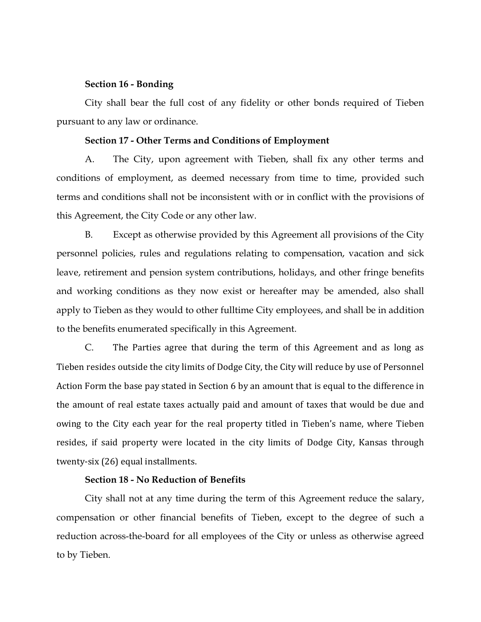#### Section 16 - Bonding

 City shall bear the full cost of any fidelity or other bonds required of Tieben pursuant to any law or ordinance.

#### Section 17 - Other Terms and Conditions of Employment

 A. The City, upon agreement with Tieben, shall fix any other terms and conditions of employment, as deemed necessary from time to time, provided such terms and conditions shall not be inconsistent with or in conflict with the provisions of this Agreement, the City Code or any other law.

 B. Except as otherwise provided by this Agreement all provisions of the City personnel policies, rules and regulations relating to compensation, vacation and sick leave, retirement and pension system contributions, holidays, and other fringe benefits and working conditions as they now exist or hereafter may be amended, also shall apply to Tieben as they would to other fulltime City employees, and shall be in addition to the benefits enumerated specifically in this Agreement.

 C. The Parties agree that during the term of this Agreement and as long as Tieben resides outside the city limits of Dodge City, the City will reduce by use of Personnel Action Form the base pay stated in Section 6 by an amount that is equal to the difference in the amount of real estate taxes actually paid and amount of taxes that would be due and owing to the City each year for the real property titled in Tieben's name, where Tieben resides, if said property were located in the city limits of Dodge City, Kansas through twenty-six (26) equal installments.

#### Section 18 - No Reduction of Benefits

 City shall not at any time during the term of this Agreement reduce the salary, compensation or other financial benefits of Tieben, except to the degree of such a reduction across-the-board for all employees of the City or unless as otherwise agreed to by Tieben.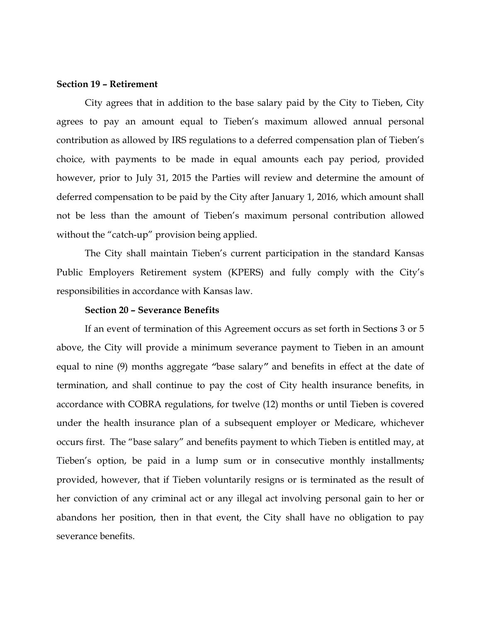#### Section 19 – Retirement

City agrees that in addition to the base salary paid by the City to Tieben, City agrees to pay an amount equal to Tieben's maximum allowed annual personal contribution as allowed by IRS regulations to a deferred compensation plan of Tieben's choice, with payments to be made in equal amounts each pay period, provided however, prior to July 31, 2015 the Parties will review and determine the amount of deferred compensation to be paid by the City after January 1, 2016, which amount shall not be less than the amount of Tieben's maximum personal contribution allowed without the "catch-up" provision being applied.

The City shall maintain Tieben's current participation in the standard Kansas Public Employers Retirement system (KPERS) and fully comply with the City's responsibilities in accordance with Kansas law.

#### Section 20 – Severance Benefits

If an event of termination of this Agreement occurs as set forth in Sections 3 or 5 above, the City will provide a minimum severance payment to Tieben in an amount equal to nine (9) months aggregate "base salary" and benefits in effect at the date of termination, and shall continue to pay the cost of City health insurance benefits, in accordance with COBRA regulations, for twelve (12) months or until Tieben is covered under the health insurance plan of a subsequent employer or Medicare, whichever occurs first. The "base salary" and benefits payment to which Tieben is entitled may, at Tieben's option, be paid in a lump sum or in consecutive monthly installments; provided, however, that if Tieben voluntarily resigns or is terminated as the result of her conviction of any criminal act or any illegal act involving personal gain to her or abandons her position, then in that event, the City shall have no obligation to pay severance benefits.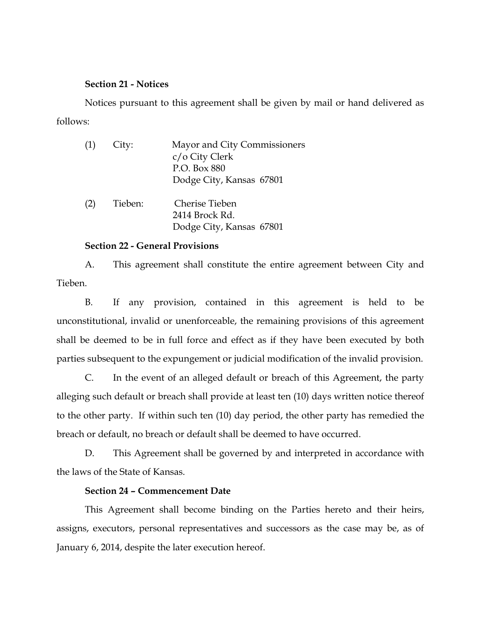## Section 21 - Notices

 Notices pursuant to this agreement shall be given by mail or hand delivered as follows:

| (1) | City:   | Mayor and City Commissioners |
|-----|---------|------------------------------|
|     |         | c/o City Clerk               |
|     |         | P.O. Box 880                 |
|     |         | Dodge City, Kansas 67801     |
| (2) | Tieben: | Cherise Tieben               |
|     |         | 2414 Brock Rd.               |
|     |         | Dodge City, Kansas 67801     |

#### Section 22 - General Provisions

 A. This agreement shall constitute the entire agreement between City and Tieben.

 B. If any provision, contained in this agreement is held to be unconstitutional, invalid or unenforceable, the remaining provisions of this agreement shall be deemed to be in full force and effect as if they have been executed by both parties subsequent to the expungement or judicial modification of the invalid provision.

 C. In the event of an alleged default or breach of this Agreement, the party alleging such default or breach shall provide at least ten (10) days written notice thereof to the other party. If within such ten (10) day period, the other party has remedied the breach or default, no breach or default shall be deemed to have occurred.

 D. This Agreement shall be governed by and interpreted in accordance with the laws of the State of Kansas.

#### Section 24 – Commencement Date

This Agreement shall become binding on the Parties hereto and their heirs, assigns, executors, personal representatives and successors as the case may be, as of January 6, 2014, despite the later execution hereof.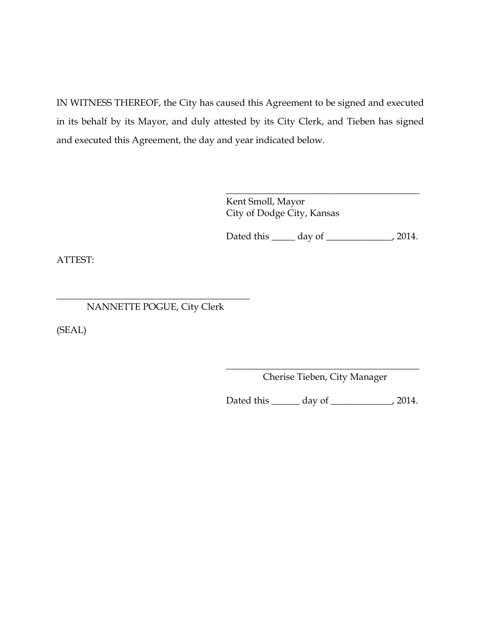IN WITNESS THEREOF, the City has caused this Agreement to be signed and executed in its behalf by its Mayor, and duly attested by its City Clerk, and Tieben has signed and executed this Agreement, the day and year indicated below.

> \_\_\_\_\_\_\_\_\_\_\_\_\_\_\_\_\_\_\_\_\_\_\_\_\_\_\_\_\_\_\_\_\_\_\_\_\_\_\_\_\_ Kent Smoll, Mayor City of Dodge City, Kansas

> Dated this \_\_\_\_\_ day of \_\_\_\_\_\_\_\_\_\_\_\_\_\_, 2014.

ATTEST:

## \_\_\_\_\_\_\_\_\_\_\_\_\_\_\_\_\_\_\_\_\_\_\_\_\_\_\_\_\_\_\_\_\_\_\_\_\_\_\_\_\_ NANNETTE POGUE, City Clerk

(SEAL)

\_\_\_\_\_\_\_\_\_\_\_\_\_\_\_\_\_\_\_\_\_\_\_\_\_\_\_\_\_\_\_\_\_\_\_\_\_\_\_\_\_ Cherise Tieben, City Manager

Dated this \_\_\_\_\_\_ day of \_\_\_\_\_\_\_\_\_\_\_\_\_, 2014.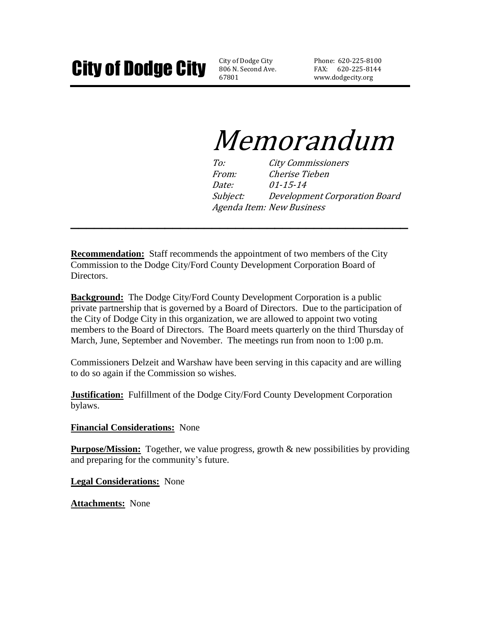806 N. Second Ave. 67801

Phone: 620-225-8100 FAX: 620-225-8144 www.dodgecity.org

# Memorandum

To: City Commissioners From: Cherise Tieben Date: 01-15-14 Subject: Development Corporation Board Agenda Item: New Business

**Recommendation:** Staff recommends the appointment of two members of the City Commission to the Dodge City/Ford County Development Corporation Board of Directors.

**\_\_\_\_\_\_\_\_\_\_\_\_\_\_\_\_\_\_\_\_\_\_\_\_\_\_\_\_\_\_\_\_\_\_\_\_\_\_\_\_\_\_\_**

**Background:** The Dodge City/Ford County Development Corporation is a public private partnership that is governed by a Board of Directors. Due to the participation of the City of Dodge City in this organization, we are allowed to appoint two voting members to the Board of Directors. The Board meets quarterly on the third Thursday of March, June, September and November. The meetings run from noon to 1:00 p.m.

Commissioners Delzeit and Warshaw have been serving in this capacity and are willing to do so again if the Commission so wishes.

**Justification:** Fulfillment of the Dodge City/Ford County Development Corporation bylaws.

## **Financial Considerations:** None

**Purpose/Mission:** Together, we value progress, growth & new possibilities by providing and preparing for the community's future.

**Legal Considerations:** None

**Attachments:** None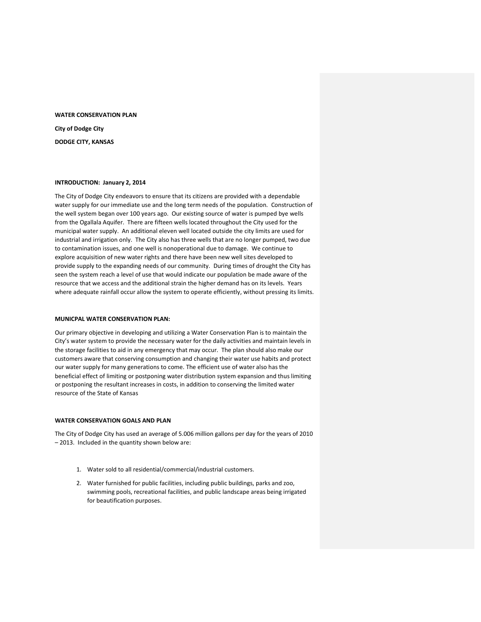## WATER CONSERVATION PLAN City of Dodge City DODGE CITY, KANSAS

#### INTRODUCTION: January 2, 2014

The City of Dodge City endeavors to ensure that its citizens are provided with a dependable water supply for our immediate use and the long term needs of the population. Construction of the well system began over 100 years ago. Our existing source of water is pumped bye wells from the Ogallala Aquifer. There are fifteen wells located throughout the City used for the municipal water supply. An additional eleven well located outside the city limits are used for industrial and irrigation only. The City also has three wells that are no longer pumped, two due to contamination issues, and one well is nonoperational due to damage. We continue to explore acquisition of new water rights and there have been new well sites developed to provide supply to the expanding needs of our community. During times of drought the City has seen the system reach a level of use that would indicate our population be made aware of the resource that we access and the additional strain the higher demand has on its levels. Years where adequate rainfall occur allow the system to operate efficiently, without pressing its limits.

#### MUNICPAL WATER CONSERVATION PLAN:

Our primary objective in developing and utilizing a Water Conservation Plan is to maintain the City's water system to provide the necessary water for the daily activities and maintain levels in the storage facilities to aid in any emergency that may occur. The plan should also make our customers aware that conserving consumption and changing their water use habits and protect our water supply for many generations to come. The efficient use of water also has the beneficial effect of limiting or postponing water distribution system expansion and thus limiting or postponing the resultant increases in costs, in addition to conserving the limited water resource of the State of Kansas

#### WATER CONSERVATION GOALS AND PLAN

The City of Dodge City has used an average of 5.006 million gallons per day for the years of 2010 – 2013. Included in the quantity shown below are:

- 1. Water sold to all residential/commercial/industrial customers.
- 2. Water furnished for public facilities, including public buildings, parks and zoo, swimming pools, recreational facilities, and public landscape areas being irrigated for beautification purposes.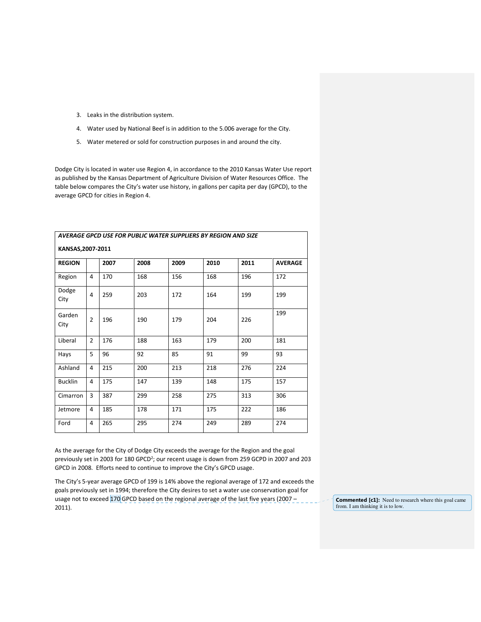- 3. Leaks in the distribution system.
- 4. Water used by National Beef is in addition to the 5.006 average for the City.
- 5. Water metered or sold for construction purposes in and around the city.

Dodge City is located in water use Region 4, in accordance to the 2010 Kansas Water Use report as published by the Kansas Department of Agriculture Division of Water Resources Office. The table below compares the City's water use history, in gallons per capita per day (GPCD), to the average GPCD for cities in Region 4.

| AVERAGE GPCD USE FOR PUBLIC WATER SUPPLIERS BY REGION AND SIZE |                |      |      |      |      |      |                |
|----------------------------------------------------------------|----------------|------|------|------|------|------|----------------|
| KANSAS, 2007-2011                                              |                |      |      |      |      |      |                |
| <b>REGION</b>                                                  |                | 2007 | 2008 | 2009 | 2010 | 2011 | <b>AVERAGE</b> |
| Region                                                         | 4              | 170  | 168  | 156  | 168  | 196  | 172            |
| Dodge<br>City                                                  | 4              | 259  | 203  | 172  | 164  | 199  | 199            |
| Garden<br>City                                                 | $\overline{2}$ | 196  | 190  | 179  | 204  | 226  | 199            |
| Liberal                                                        | $\overline{2}$ | 176  | 188  | 163  | 179  | 200  | 181            |
| Hays                                                           | 5              | 96   | 92   | 85   | 91   | 99   | 93             |
| Ashland                                                        | 4              | 215  | 200  | 213  | 218  | 276  | 224            |
| <b>Bucklin</b>                                                 | 4              | 175  | 147  | 139  | 148  | 175  | 157            |
| Cimarron                                                       | 3              | 387  | 299  | 258  | 275  | 313  | 306            |
| Jetmore                                                        | 4              | 185  | 178  | 171  | 175  | 222  | 186            |
| Ford                                                           | 4              | 265  | 295  | 274  | 249  | 289  | 274            |

As the average for the City of Dodge City exceeds the average for the Region and the goal previously set in 2003 for 180 GPCD<sup>2</sup>; our recent usage is down from 259 GCPD in 2007 and 203 GPCD in 2008. Efforts need to continue to improve the City's GPCD usage.

The City's 5-year average GPCD of 199 is 14% above the regional average of 172 and exceeds the goals previously set in 1994; therefore the City desires to set a water use conservation goal for usage not to exceed 170 GPCD based on the regional average of the last five years (2007 – 2011).

Commented [c1]: Need to research where this goal came from. I am thinking it is to low.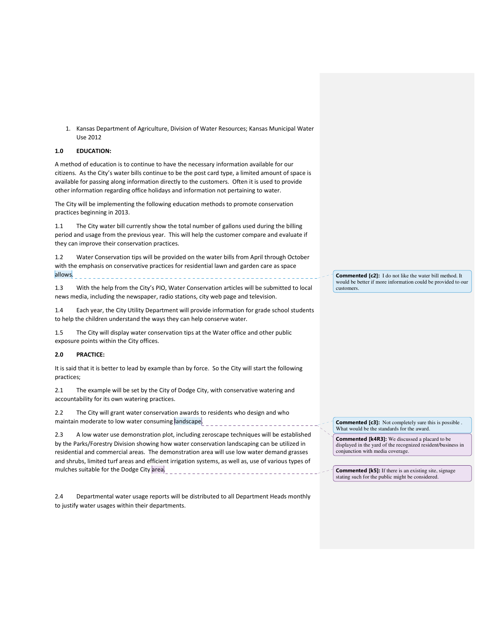1. Kansas Department of Agriculture, Division of Water Resources; Kansas Municipal Water Use 2012

#### 1.0 EDUCATION:

A method of education is to continue to have the necessary information available for our citizens. As the City's water bills continue to be the post card type, a limited amount of space is available for passing along information directly to the customers. Often it is used to provide other information regarding office holidays and information not pertaining to water.

The City will be implementing the following education methods to promote conservation practices beginning in 2013.

1.1 The City water bill currently show the total number of gallons used during the billing period and usage from the previous year. This will help the customer compare and evaluate if they can improve their conservation practices.

1.2 Water Conservation tips will be provided on the water bills from April through October with the emphasis on conservative practices for residential lawn and garden care as space allows.

1.3 With the help from the City's PIO, Water Conservation articles will be submitted to local news media, including the newspaper, radio stations, city web page and television.

1.4 Each year, the City Utility Department will provide information for grade school students to help the children understand the ways they can help conserve water.

1.5 The City will display water conservation tips at the Water office and other public exposure points within the City offices.

#### 2.0 PRACTICE:

It is said that it is better to lead by example than by force. So the City will start the following practices;

2.1 The example will be set by the City of Dodge City, with conservative watering and accountability for its own watering practices.

2.2 The City will grant water conservation awards to residents who design and who maintain moderate to low water consuming landscape.

2.3 A low water use demonstration plot, including zeroscape techniques will be established by the Parks/Forestry Division showing how water conservation landscaping can be utilized in residential and commercial areas. The demonstration area will use low water demand grasses and shrubs, limited turf areas and efficient irrigation systems, as well as, use of various types of mulches suitable for the Dodge City area.

2.4 Departmental water usage reports will be distributed to all Department Heads monthly to justify water usages within their departments.

Commented [c2]: I do not like the water bill method. It would be better if more information could be provided to our customers.

Commented [c3]: Not completely sure this is possible What would be the standards for the award.

Commented [k4R3]: We discussed a placard to be displayed in the yard of the recognized resident/business in conjunction with media coverage.

Commented [k5]: If there is an existing site, signage stating such for the public might be considered.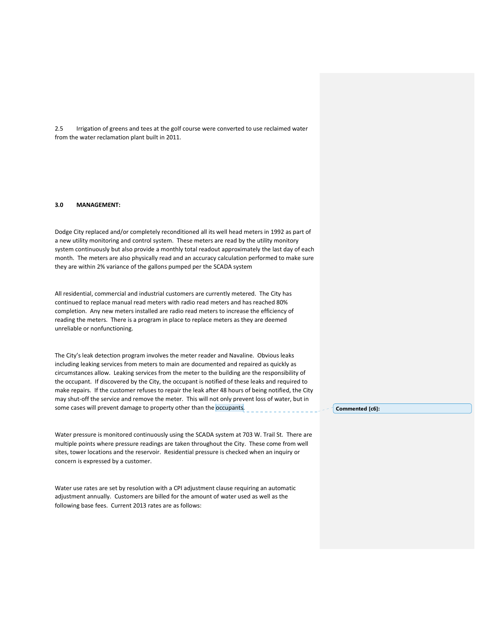2.5 Irrigation of greens and tees at the golf course were converted to use reclaimed water from the water reclamation plant built in 2011.

#### 3.0 MANAGEMENT:

Dodge City replaced and/or completely reconditioned all its well head meters in 1992 as part of a new utility monitoring and control system. These meters are read by the utility monitory system continuously but also provide a monthly total readout approximately the last day of each month. The meters are also physically read and an accuracy calculation performed to make sure they are within 2% variance of the gallons pumped per the SCADA system

All residential, commercial and industrial customers are currently metered. The City has continued to replace manual read meters with radio read meters and has reached 80% completion. Any new meters installed are radio read meters to increase the efficiency of reading the meters. There is a program in place to replace meters as they are deemed unreliable or nonfunctioning.

The City's leak detection program involves the meter reader and Navaline. Obvious leaks including leaking services from meters to main are documented and repaired as quickly as circumstances allow. Leaking services from the meter to the building are the responsibility of the occupant. If discovered by the City, the occupant is notified of these leaks and required to make repairs. If the customer refuses to repair the leak after 48 hours of being notified, the City may shut-off the service and remove the meter. This will not only prevent loss of water, but in some cases will prevent damage to property other than the occupants.

Water pressure is monitored continuously using the SCADA system at 703 W. Trail St. There are multiple points where pressure readings are taken throughout the City. These come from well sites, tower locations and the reservoir. Residential pressure is checked when an inquiry or concern is expressed by a customer.

Water use rates are set by resolution with a CPI adjustment clause requiring an automatic adjustment annually. Customers are billed for the amount of water used as well as the following base fees. Current 2013 rates are as follows:

Commented [c6]: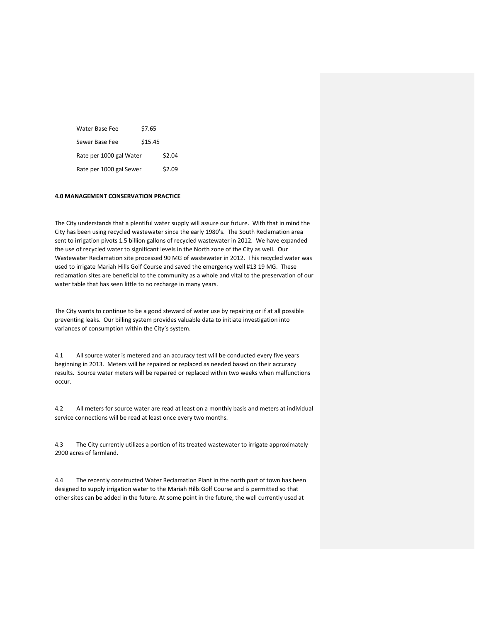| Water Base Fee          | \$7.65  |        |
|-------------------------|---------|--------|
| Sewer Base Fee          | \$15.45 |        |
| Rate per 1000 gal Water |         | \$2.04 |
| Rate per 1000 gal Sewer |         | \$2.09 |

#### 4.0 MANAGEMENT CONSERVATION PRACTICE

The City understands that a plentiful water supply will assure our future. With that in mind the City has been using recycled wastewater since the early 1980's. The South Reclamation area sent to irrigation pivots 1.5 billion gallons of recycled wastewater in 2012. We have expanded the use of recycled water to significant levels in the North zone of the City as well. Our Wastewater Reclamation site processed 90 MG of wastewater in 2012. This recycled water was used to irrigate Mariah Hills Golf Course and saved the emergency well #13 19 MG. These reclamation sites are beneficial to the community as a whole and vital to the preservation of our water table that has seen little to no recharge in many years.

The City wants to continue to be a good steward of water use by repairing or if at all possible preventing leaks. Our billing system provides valuable data to initiate investigation into variances of consumption within the City's system.

4.1 All source water is metered and an accuracy test will be conducted every five years beginning in 2013. Meters will be repaired or replaced as needed based on their accuracy results. Source water meters will be repaired or replaced within two weeks when malfunctions occur.

4.2 All meters for source water are read at least on a monthly basis and meters at individual service connections will be read at least once every two months.

4.3 The City currently utilizes a portion of its treated wastewater to irrigate approximately 2900 acres of farmland.

4.4 The recently constructed Water Reclamation Plant in the north part of town has been designed to supply irrigation water to the Mariah Hills Golf Course and is permitted so that other sites can be added in the future. At some point in the future, the well currently used at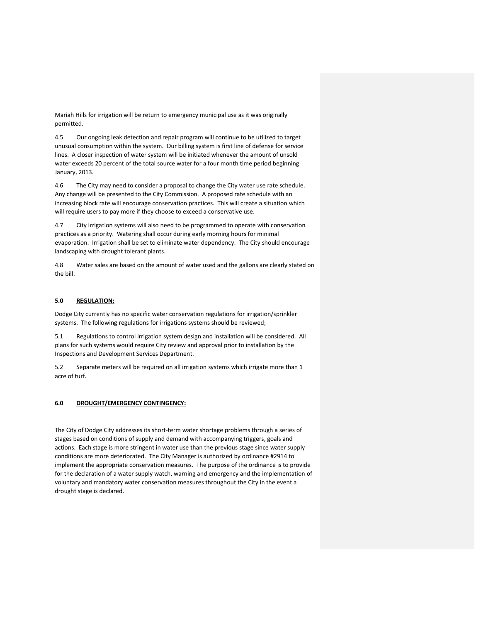Mariah Hills for irrigation will be return to emergency municipal use as it was originally permitted.

4.5 Our ongoing leak detection and repair program will continue to be utilized to target unusual consumption within the system. Our billing system is first line of defense for service lines. A closer inspection of water system will be initiated whenever the amount of unsold water exceeds 20 percent of the total source water for a four month time period beginning January, 2013.

4.6 The City may need to consider a proposal to change the City water use rate schedule. Any change will be presented to the City Commission. A proposed rate schedule with an increasing block rate will encourage conservation practices. This will create a situation which will require users to pay more if they choose to exceed a conservative use.

4.7 City irrigation systems will also need to be programmed to operate with conservation practices as a priority. Watering shall occur during early morning hours for minimal evaporation. Irrigation shall be set to eliminate water dependency. The City should encourage landscaping with drought tolerant plants.

4.8 Water sales are based on the amount of water used and the gallons are clearly stated on the bill.

#### 5.0 REGULATION:

Dodge City currently has no specific water conservation regulations for irrigation/sprinkler systems. The following regulations for irrigations systems should be reviewed;

5.1 Regulations to control irrigation system design and installation will be considered. All plans for such systems would require City review and approval prior to installation by the Inspections and Development Services Department.

5.2 Separate meters will be required on all irrigation systems which irrigate more than 1 acre of turf.

#### 6.0 DROUGHT/EMERGENCY CONTINGENCY:

The City of Dodge City addresses its short-term water shortage problems through a series of stages based on conditions of supply and demand with accompanying triggers, goals and actions. Each stage is more stringent in water use than the previous stage since water supply conditions are more deteriorated. The City Manager is authorized by ordinance #2914 to implement the appropriate conservation measures. The purpose of the ordinance is to provide for the declaration of a water supply watch, warning and emergency and the implementation of voluntary and mandatory water conservation measures throughout the City in the event a drought stage is declared.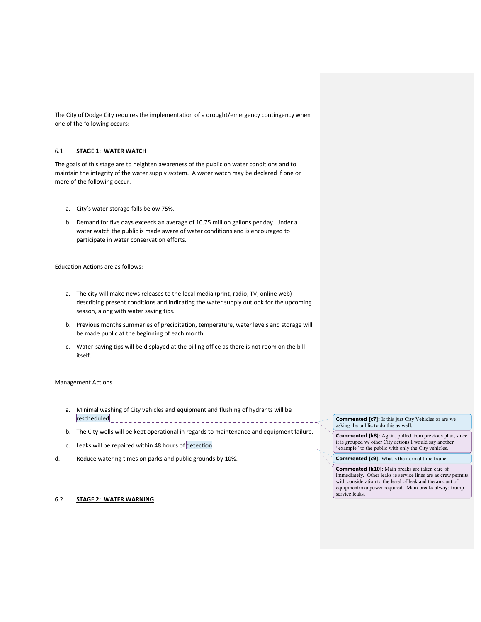The City of Dodge City requires the implementation of a drought/emergency contingency when one of the following occurs:

#### 6.1 STAGE 1: WATER WATCH

The goals of this stage are to heighten awareness of the public on water conditions and to maintain the integrity of the water supply system. A water watch may be declared if one or more of the following occur.

- a. City's water storage falls below 75%.
- b. Demand for five days exceeds an average of 10.75 million gallons per day. Under a water watch the public is made aware of water conditions and is encouraged to participate in water conservation efforts.

Education Actions are as follows:

- a. The city will make news releases to the local media (print, radio, TV, online web) describing present conditions and indicating the water supply outlook for the upcoming season, along with water saving tips.
- b. Previous months summaries of precipitation, temperature, water levels and storage will be made public at the beginning of each month
- c. Water-saving tips will be displayed at the billing office as there is not room on the bill itself.

#### Management Actions

- a. Minimal washing of City vehicles and equipment and flushing of hydrants will be rescheduled.
- b. The City wells will be kept operational in regards to maintenance and equipment failure.
- c. Leaks will be repaired within 48 hours of detection.
- d. Reduce watering times on parks and public grounds by 10%.

6.2 STAGE 2: WATER WARNING

Commented [c7]: Is this just City Vehicles or are we asking the public to do this as well.

Commented [k8]: Again, pulled from previous plan, since it is grouped w/ other City actions I would say another "example" to the public with only the City vehicles.

Commented [c9]: What's the normal time frame.

Commented [k10]: Main breaks are taken care of immediately. Other leaks ie service lines are as crew permits with consideration to the level of leak and the amount of equipment/manpower required. Main breaks always trump service leaks.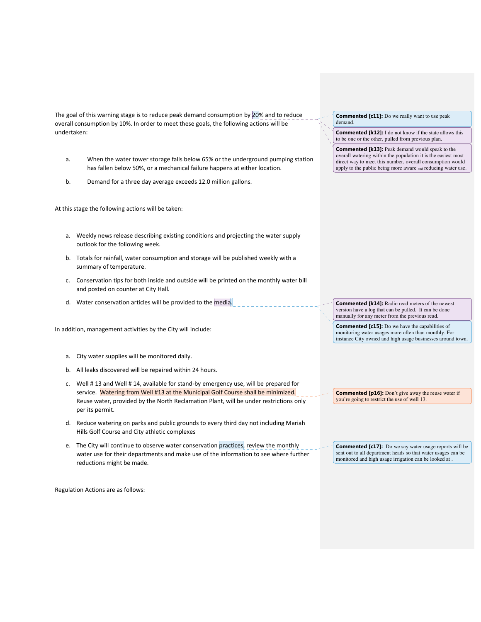The goal of this warning stage is to reduce peak demand consumption by 20% and to reduce overall consumption by 10%. In order to meet these goals, the following actions will be undertaken:

- a. When the water tower storage falls below 65% or the underground pumping station has fallen below 50%, or a mechanical failure happens at either location.
- b. Demand for a three day average exceeds 12.0 million gallons.

At this stage the following actions will be taken:

- a. Weekly news release describing existing conditions and projecting the water supply outlook for the following week.
- b. Totals for rainfall, water consumption and storage will be published weekly with a summary of temperature.
- c. Conservation tips for both inside and outside will be printed on the monthly water bill and posted on counter at City Hall.
- d. Water conservation articles will be provided to the media.

In addition, management activities by the City will include:

- a. City water supplies will be monitored daily.
- b. All leaks discovered will be repaired within 24 hours.
- c. Well # 13 and Well # 14, available for stand-by emergency use, will be prepared for service. Watering from Well #13 at the Municipal Golf Course shall be minimized. Reuse water, provided by the North Reclamation Plant, will be under restrictions only per its permit.
- d. Reduce watering on parks and public grounds to every third day not including Mariah Hills Golf Course and City athletic complexes
- e. The City will continue to observe water conservation practices, review the monthly water use for their departments and make use of the information to see where further reductions might be made.

Regulation Actions are as follows:

Commented [c11]: Do we really want to use peak demand.

Commented [k12]: I do not know if the state allows this to be one or the other, pulled from previous plan.

Commented [k13]: Peak demand would speak to the overall watering within the population it is the easiest most direct way to meet this number, overall consumption would apply to the public being more aware and reducing water use.

**Commented [k14]:** Radio read meters of the newest version have a log that can be pulled. It can be done manually for any meter from the previous read.

Commented [c15]: Do we have the capabilities of monitoring water usages more often than monthly. For instance City owned and high usage businesses around town.

Commented [p16]: Don't give away the reuse water if you're going to restrict the use of well 13.

Commented [c17]: Do we say water usage reports will be sent out to all department heads so that water usages can be monitored and high usage irrigation can be looked at .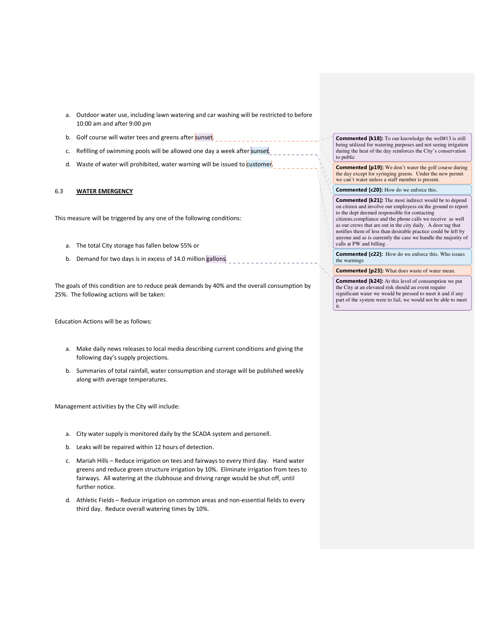- a. Outdoor water use, including lawn watering and car washing will be restricted to before 10:00 am and after 9:00 pm
- b. Golf course will water tees and greens after sunset.
- c. Refilling of swimming pools will be allowed one day a week after sunset.
- d. Waste of water will prohibited, water warning will be issued to customer.

#### 6.3 WATER EMERGENCY

This measure will be triggered by any one of the following conditions:

- a. The total City storage has fallen below 55% or
- b. Demand for two days is in excess of 14.0 million gallons.

The goals of this condition are to reduce peak demands by 40% and the overall consumption by 25%. The following actions will be taken:

Education Actions will be as follows:

- a. Make daily news releases to local media describing current conditions and giving the following day's supply projections.
- b. Summaries of total rainfall, water consumption and storage will be published weekly along with average temperatures.

Management activities by the City will include:

- a. City water supply is monitored daily by the SCADA system and personell.
- b. Leaks will be repaired within 12 hours of detection.
- c. Mariah Hills Reduce irrigation on tees and fairways to every third day. Hand water greens and reduce green structure irrigation by 10%. Eliminate irrigation from tees to fairways. All watering at the clubhouse and driving range would be shut off, until further notice.
- d. Athletic Fields Reduce irrigation on common areas and non-essential fields to every third day. Reduce overall watering times by 10%.

Commented [k18]: To our knowledge the well#13 is still being utilized for watering purposes and not seeing irrigation during the heat of the day reinforces the City's conservation to public

Commented [p19]: We don't water the golf course during the day except for syringing greens. Under the new permit we can't water unless a staff member is present.

Commented [c20]: How do we enforce this.

Commented [k21]: The most indirect would be to depend on citizen and involve our employess on the ground to report to the dept deemed responsible for contacting citizens.compliance and the phone calls we receive as well as our crews that are out in the city daily. A door tag that notifies them of less than desirable practice could be left by anyone and as is currently the case we handle the majority of calls at PW and billing .

Commented [c22]: How do we enforce this. Who issues the warnings

Commented [p23]: What does waste of water mean.

Commented [k24]: At this level of consumption we put the City at an elevated risk should an event require significant water we would be pressed to meet it and if any part of the system were to fail, we would not be able to meet it.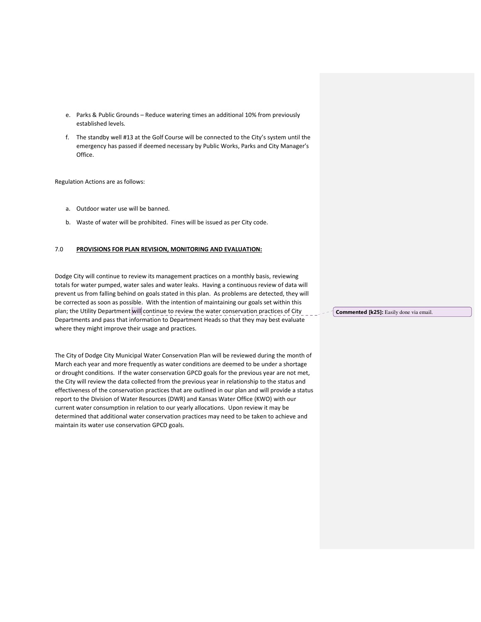- e. Parks & Public Grounds Reduce watering times an additional 10% from previously established levels.
- f. The standby well #13 at the Golf Course will be connected to the City's system until the emergency has passed if deemed necessary by Public Works, Parks and City Manager's Office.

Regulation Actions are as follows:

- a. Outdoor water use will be banned.
- b. Waste of water will be prohibited. Fines will be issued as per City code.

#### 7.0 PROVISIONS FOR PLAN REVISION, MONITORING AND EVALUATION:

Dodge City will continue to review its management practices on a monthly basis, reviewing totals for water pumped, water sales and water leaks. Having a continuous review of data will prevent us from falling behind on goals stated in this plan. As problems are detected, they will be corrected as soon as possible. With the intention of maintaining our goals set within this plan; the Utility Department will continue to review the water conservation practices of City Departments and pass that information to Department Heads so that they may best evaluate where they might improve their usage and practices.

The City of Dodge City Municipal Water Conservation Plan will be reviewed during the month of March each year and more frequently as water conditions are deemed to be under a shortage or drought conditions. If the water conservation GPCD goals for the previous year are not met, the City will review the data collected from the previous year in relationship to the status and effectiveness of the conservation practices that are outlined in our plan and will provide a status report to the Division of Water Resources (DWR) and Kansas Water Office (KWO) with our current water consumption in relation to our yearly allocations. Upon review it may be determined that additional water conservation practices may need to be taken to achieve and maintain its water use conservation GPCD goals.

Commented [k25]: Easily done via email.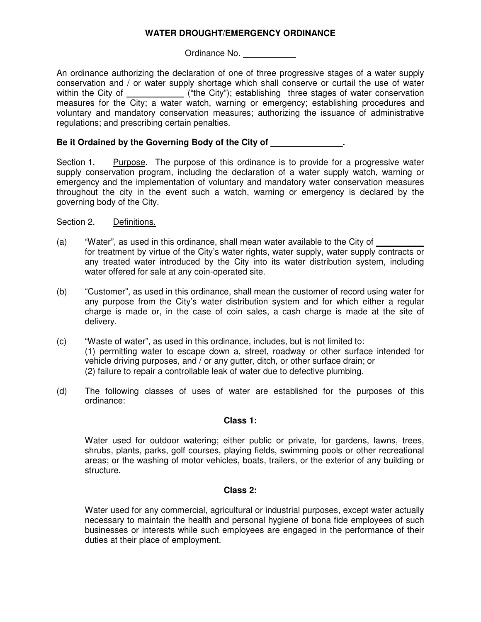## **WATER DROUGHT/EMERGENCY ORDINANCE**

Ordinance No.

An ordinance authorizing the declaration of one of three progressive stages of a water supply conservation and / or water supply shortage which shall conserve or curtail the use of water within the City of \_\_\_\_\_\_\_\_\_\_\_\_\_\_ ("the City"); establishing three stages of water conservation measures for the City; a water watch, warning or emergency; establishing procedures and voluntary and mandatory conservation measures; authorizing the issuance of administrative regulations; and prescribing certain penalties.

## **Be it Ordained by the Governing Body of the City of \_\_\_\_\_\_\_\_\_\_\_\_\_\_\_.**

Section 1. Purpose. The purpose of this ordinance is to provide for a progressive water supply conservation program, including the declaration of a water supply watch, warning or emergency and the implementation of voluntary and mandatory water conservation measures throughout the city in the event such a watch, warning or emergency is declared by the governing body of the City.

Section 2. Definitions.

- (a) "Water", as used in this ordinance, shall mean water available to the City of for treatment by virtue of the City's water rights, water supply, water supply contracts or any treated water introduced by the City into its water distribution system, including water offered for sale at any coin-operated site.
- (b) "Customer", as used in this ordinance, shall mean the customer of record using water for any purpose from the City's water distribution system and for which either a regular charge is made or, in the case of coin sales, a cash charge is made at the site of delivery.
- (c) "Waste of water", as used in this ordinance, includes, but is not limited to: (1) permitting water to escape down a, street, roadway or other surface intended for vehicle driving purposes, and / or any gutter, ditch, or other surface drain; or (2) failure to repair a controllable leak of water due to defective plumbing.
- (d) The following classes of uses of water are established for the purposes of this ordinance:

## **Class 1:**

Water used for outdoor watering; either public or private, for gardens, lawns, trees, shrubs, plants, parks, golf courses, playing fields, swimming pools or other recreational areas; or the washing of motor vehicles, boats, trailers, or the exterior of any building or structure.

## **Class 2:**

Water used for any commercial, agricultural or industrial purposes, except water actually necessary to maintain the health and personal hygiene of bona fide employees of such businesses or interests while such employees are engaged in the performance of their duties at their place of employment.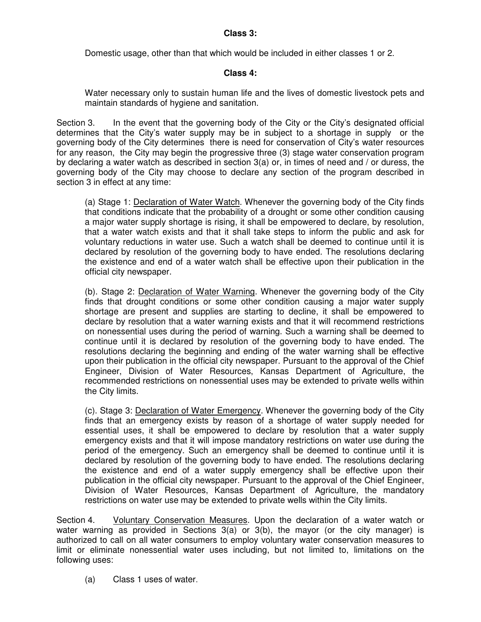## **Class 3:**

Domestic usage, other than that which would be included in either classes 1 or 2.

#### **Class 4:**

Water necessary only to sustain human life and the lives of domestic livestock pets and maintain standards of hygiene and sanitation.

Section 3. In the event that the governing body of the City or the City's designated official determines that the City's water supply may be in subject to a shortage in supply or the governing body of the City determines there is need for conservation of City's water resources for any reason, the City may begin the progressive three (3) stage water conservation program by declaring a water watch as described in section 3(a) or, in times of need and / or duress, the governing body of the City may choose to declare any section of the program described in section 3 in effect at any time:

(a) Stage 1: Declaration of Water Watch. Whenever the governing body of the City finds that conditions indicate that the probability of a drought or some other condition causing a major water supply shortage is rising, it shall be empowered to declare, by resolution, that a water watch exists and that it shall take steps to inform the public and ask for voluntary reductions in water use. Such a watch shall be deemed to continue until it is declared by resolution of the governing body to have ended. The resolutions declaring the existence and end of a water watch shall be effective upon their publication in the official city newspaper.

(b). Stage 2: Declaration of Water Warning. Whenever the governing body of the City finds that drought conditions or some other condition causing a major water supply shortage are present and supplies are starting to decline, it shall be empowered to declare by resolution that a water warning exists and that it will recommend restrictions on nonessential uses during the period of warning. Such a warning shall be deemed to continue until it is declared by resolution of the governing body to have ended. The resolutions declaring the beginning and ending of the water warning shall be effective upon their publication in the official city newspaper. Pursuant to the approval of the Chief Engineer, Division of Water Resources, Kansas Department of Agriculture, the recommended restrictions on nonessential uses may be extended to private wells within the City limits.

(c). Stage 3: Declaration of Water Emergency. Whenever the governing body of the City finds that an emergency exists by reason of a shortage of water supply needed for essential uses, it shall be empowered to declare by resolution that a water supply emergency exists and that it will impose mandatory restrictions on water use during the period of the emergency. Such an emergency shall be deemed to continue until it is declared by resolution of the governing body to have ended. The resolutions declaring the existence and end of a water supply emergency shall be effective upon their publication in the official city newspaper. Pursuant to the approval of the Chief Engineer, Division of Water Resources, Kansas Department of Agriculture, the mandatory restrictions on water use may be extended to private wells within the City limits.

Section 4. Voluntary Conservation Measures. Upon the declaration of a water watch or water warning as provided in Sections  $3(a)$  or  $3(b)$ , the mayor (or the city manager) is authorized to call on all water consumers to employ voluntary water conservation measures to limit or eliminate nonessential water uses including, but not limited to, limitations on the following uses:

(a) Class 1 uses of water.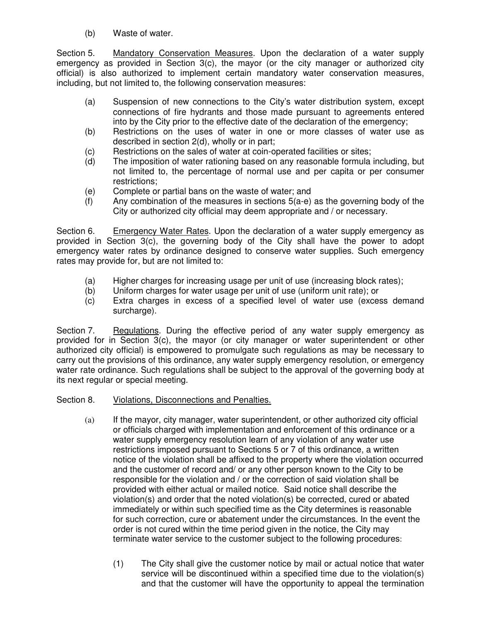(b) Waste of water.

Section 5. Mandatory Conservation Measures. Upon the declaration of a water supply emergency as provided in Section 3(c), the mayor (or the city manager or authorized city official) is also authorized to implement certain mandatory water conservation measures, including, but not limited to, the following conservation measures:

- (a) Suspension of new connections to the City's water distribution system, except connections of fire hydrants and those made pursuant to agreements entered into by the City prior to the effective date of the declaration of the emergency;
- (b) Restrictions on the uses of water in one or more classes of water use as described in section 2(d), wholly or in part;
- (c) Restrictions on the sales of water at coin-operated facilities or sites;<br>(d) The imposition of water rationing based on any reasonable formula
- The imposition of water rationing based on any reasonable formula including, but not limited to, the percentage of normal use and per capita or per consumer restrictions;
- (e) Complete or partial bans on the waste of water; and
- (f) Any combination of the measures in sections 5(a-e) as the governing body of the City or authorized city official may deem appropriate and / or necessary.

Section 6. Emergency Water Rates. Upon the declaration of a water supply emergency as provided in Section 3(c), the governing body of the City shall have the power to adopt emergency water rates by ordinance designed to conserve water supplies. Such emergency rates may provide for, but are not limited to:

- (a) Higher charges for increasing usage per unit of use (increasing block rates);
- (b) Uniform charges for water usage per unit of use (uniform unit rate); or
- (c) Extra charges in excess of a specified level of water use (excess demand surcharge).

Section 7. Regulations. During the effective period of any water supply emergency as provided for in Section 3(c), the mayor (or city manager or water superintendent or other authorized city official) is empowered to promulgate such regulations as may be necessary to carry out the provisions of this ordinance, any water supply emergency resolution, or emergency water rate ordinance. Such regulations shall be subject to the approval of the governing body at its next regular or special meeting.

- Section 8. Violations, Disconnections and Penalties.
	- (a) If the mayor, city manager, water superintendent, or other authorized city official or officials charged with implementation and enforcement of this ordinance or a water supply emergency resolution learn of any violation of any water use restrictions imposed pursuant to Sections 5 or 7 of this ordinance, a written notice of the violation shall be affixed to the property where the violation occurred and the customer of record and/ or any other person known to the City to be responsible for the violation and / or the correction of said violation shall be provided with either actual or mailed notice. Said notice shall describe the violation(s) and order that the noted violation(s) be corrected, cured or abated immediately or within such specified time as the City determines is reasonable for such correction, cure or abatement under the circumstances. In the event the order is not cured within the time period given in the notice, the City may terminate water service to the customer subject to the following procedures:
		- (1) The City shall give the customer notice by mail or actual notice that water service will be discontinued within a specified time due to the violation(s) and that the customer will have the opportunity to appeal the termination